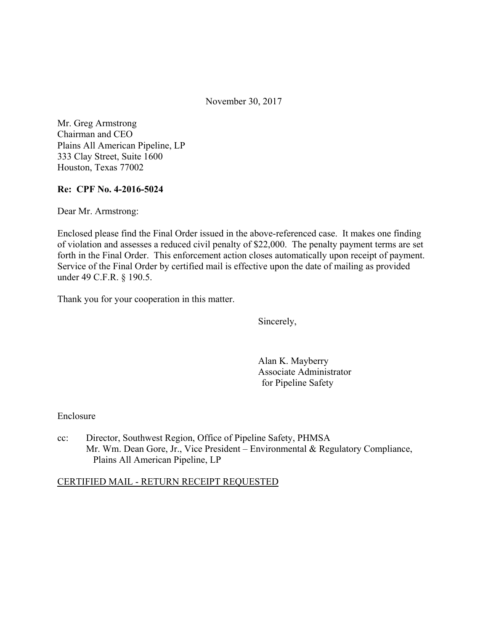November 30, 2017

Mr. Greg Armstrong Chairman and CEO Plains All American Pipeline, LP 333 Clay Street, Suite 1600 Houston, Texas 77002

## **Re: CPF No. 4-2016-5024**

Dear Mr. Armstrong:

Enclosed please find the Final Order issued in the above-referenced case. It makes one finding of violation and assesses a reduced civil penalty of \$22,000. The penalty payment terms are set forth in the Final Order. This enforcement action closes automatically upon receipt of payment. Service of the Final Order by certified mail is effective upon the date of mailing as provided under 49 C.F.R. § 190.5.

Thank you for your cooperation in this matter.

Sincerely,

Alan K. Mayberry Associate Administrator for Pipeline Safety

Enclosure

cc: Director, Southwest Region, Office of Pipeline Safety, PHMSA Mr. Wm. Dean Gore, Jr., Vice President – Environmental & Regulatory Compliance, Plains All American Pipeline, LP

#### CERTIFIED MAIL - RETURN RECEIPT REQUESTED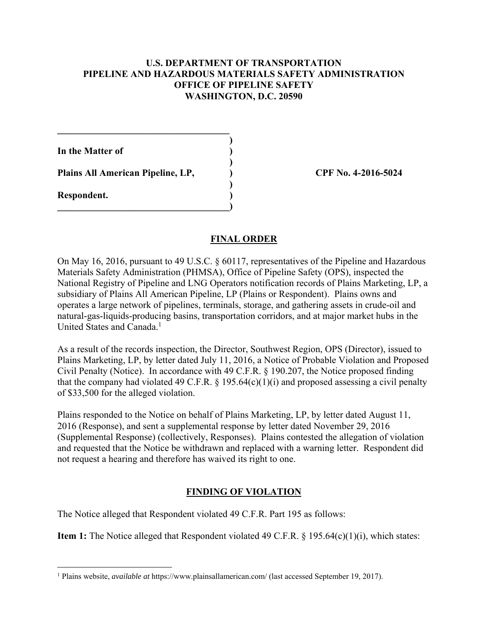## **U.S. DEPARTMENT OF TRANSPORTATION PIPELINE AND HAZARDOUS MATERIALS SAFETY ADMINISTRATION OFFICE OF PIPELINE SAFETY WASHINGTON, D.C. 20590**

**)**

 **)**

 **)**

**In the Matter of )**

**Plains All American Pipeline, LP, ) CPF No. 4-2016-5024**

 $\mathcal{L}=\{1,2,3,4,5\}$ 

**\_\_\_\_\_\_\_\_\_\_\_\_\_\_\_\_\_\_\_\_\_\_\_\_\_\_\_\_\_\_\_\_\_\_\_\_)** 

**Respondent. )** 

# **FINAL ORDER**

On May 16, 2016, pursuant to 49 U.S.C. § 60117, representatives of the Pipeline and Hazardous Materials Safety Administration (PHMSA), Office of Pipeline Safety (OPS), inspected the National Registry of Pipeline and LNG Operators notification records of Plains Marketing, LP, a subsidiary of Plains All American Pipeline, LP (Plains or Respondent). Plains owns and operates a large network of pipelines, terminals, storage, and gathering assets in crude-oil and natural-gas-liquids-producing basins, transportation corridors, and at major market hubs in the United States and Canada.<sup>1</sup>

As a result of the records inspection, the Director, Southwest Region, OPS (Director), issued to Plains Marketing, LP, by letter dated July 11, 2016, a Notice of Probable Violation and Proposed Civil Penalty (Notice). In accordance with 49 C.F.R. § 190.207, the Notice proposed finding that the company had violated 49 C.F.R.  $\S$  195.64(c)(1)(i) and proposed assessing a civil penalty of \$33,500 for the alleged violation.

Plains responded to the Notice on behalf of Plains Marketing, LP, by letter dated August 11, 2016 (Response), and sent a supplemental response by letter dated November 29, 2016 (Supplemental Response) (collectively, Responses). Plains contested the allegation of violation and requested that the Notice be withdrawn and replaced with a warning letter. Respondent did not request a hearing and therefore has waived its right to one.

# **FINDING OF VIOLATION**

The Notice alleged that Respondent violated 49 C.F.R. Part 195 as follows:

**Item 1:** The Notice alleged that Respondent violated 49 C.F.R. § 195.64(c)(1)(i), which states:

 1 Plains website, *available at* https://www.plainsallamerican.com/ (last accessed September 19, 2017).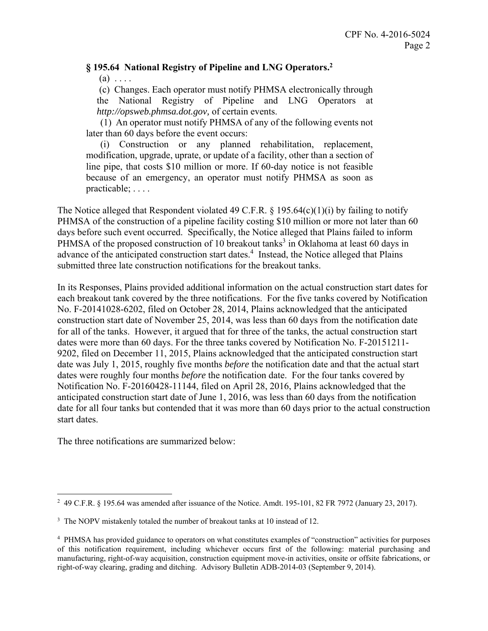## **§ 195.64 National Registry of Pipeline and LNG Operators.2**

 $(a) \ldots$ 

(c) Changes. Each operator must notify PHMSA electronically through the National Registry of Pipeline and LNG Operators at *http://opsweb.phmsa.dot.gov,* of certain events.

(1) An operator must notify PHMSA of any of the following events not later than 60 days before the event occurs:

(i) Construction or any planned rehabilitation, replacement, modification, upgrade, uprate, or update of a facility, other than a section of line pipe, that costs \$10 million or more. If 60-day notice is not feasible because of an emergency, an operator must notify PHMSA as soon as practicable; . . . .

The Notice alleged that Respondent violated 49 C.F.R.  $\S$  195.64(c)(1)(i) by failing to notify PHMSA of the construction of a pipeline facility costing \$10 million or more not later than 60 days before such event occurred. Specifically, the Notice alleged that Plains failed to inform PHMSA of the proposed construction of 10 breakout tanks<sup>3</sup> in Oklahoma at least 60 days in advance of the anticipated construction start dates.<sup>4</sup> Instead, the Notice alleged that Plains submitted three late construction notifications for the breakout tanks.

In its Responses, Plains provided additional information on the actual construction start dates for each breakout tank covered by the three notifications. For the five tanks covered by Notification No. F-20141028-6202, filed on October 28, 2014, Plains acknowledged that the anticipated construction start date of November 25, 2014, was less than 60 days from the notification date for all of the tanks. However, it argued that for three of the tanks, the actual construction start dates were more than 60 days. For the three tanks covered by Notification No. F-20151211- 9202, filed on December 11, 2015, Plains acknowledged that the anticipated construction start date was July 1, 2015, roughly five months *before* the notification date and that the actual start dates were roughly four months *before* the notification date. For the four tanks covered by Notification No. F-20160428-11144, filed on April 28, 2016, Plains acknowledged that the anticipated construction start date of June 1, 2016, was less than 60 days from the notification date for all four tanks but contended that it was more than 60 days prior to the actual construction start dates.

The three notifications are summarized below:

 $\overline{a}$ <sup>2</sup> 49 C.F.R. § 195.64 was amended after issuance of the Notice. Amdt. 195-101, 82 FR 7972 (January 23, 2017).

<sup>&</sup>lt;sup>3</sup> The NOPV mistakenly totaled the number of breakout tanks at 10 instead of 12.

 of this notification requirement, including whichever occurs first of the following: material purchasing and manufacturing, right-of-way acquisition, construction equipment move-in activities, onsite or offsite fabrications, or 4 PHMSA has provided guidance to operators on what constitutes examples of "construction" activities for purposes right-of-way clearing, grading and ditching. Advisory Bulletin ADB-2014-03 (September 9, 2014).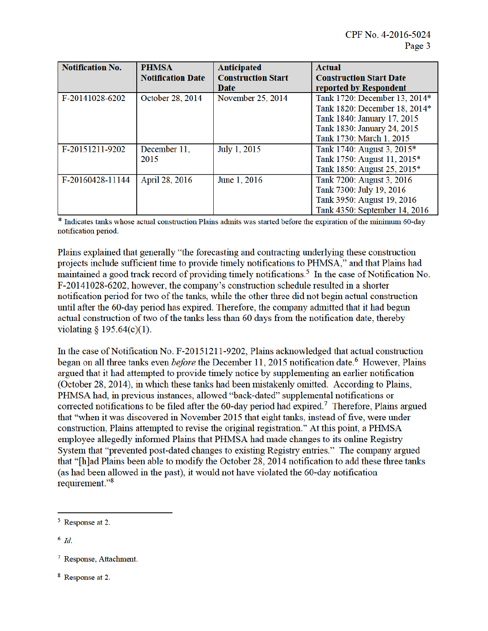| <b>Notification No.</b> | <b>PHMSA</b>             | <b>Anticipated</b>        | <b>Actual</b>                  |
|-------------------------|--------------------------|---------------------------|--------------------------------|
|                         | <b>Notification Date</b> | <b>Construction Start</b> | <b>Construction Start Date</b> |
|                         |                          | Date                      | reported by Respondent         |
| F-20141028-6202         | October 28, 2014         | November 25, 2014         | Tank 1720: December 13, 2014*  |
|                         |                          |                           | Tank 1820: December 18, 2014*  |
|                         |                          |                           | Tank 1840: January 17, 2015    |
|                         |                          |                           | Tank 1830: January 24, 2015    |
|                         |                          |                           | Tank 1730: March 1, 2015       |
| F-20151211-9202         | December 11.             | July 1, 2015              | Tank 1740: August 3, 2015*     |
|                         | 2015                     |                           | Tank 1750: August 11, 2015*    |
|                         |                          |                           | Tank 1850: August 25, 2015*    |
| F-20160428-11144        | April 28, 2016           | June 1, 2016              | Tank 7200: August 3, 2016      |
|                         |                          |                           | Tank 7300: July 19, 2016       |
|                         |                          |                           | Tank 3950: August 19, 2016     |
|                         |                          |                           | Tank 4350: September 14, 2016  |

\* Indicates tanks whose actual construction Plains admits was started before the expiration of the minimum 60-day notification period.

Plains explained that generally "the forecasting and contracting underlying these construction projects include sufficient time to provide timely notifications to PHMSA," and that Plains had maintained a good track record of providing timely notifications.<sup>5</sup> In the case of Notification No. F-20141028-6202, however, the company's construction schedule resulted in a shorter notification period for two of the tanks, while the other three did not begin actual construction until after the 60-day period has expired. Therefore, the company admitted that it had begun actual construction of two of the tanks less than 60 days from the notification date, thereby violating § 195.64(c)(1).

In the case of Notification No. F-20151211-9202, Plains acknowledged that actual construction began on all three tanks even *before* the December 11, 2015 notification date.<sup>6</sup> However, Plains argued that it had attempted to provide timely notice by supplementing an earlier notification (October 28, 2014), in which these tanks had been mistakenly omitted. According to Plains, PHMSA had, in previous instances, allowed "back-dated" supplemental notifications or corrected notifications to be filed after the 60-day period had expired.<sup>7</sup> Therefore, Plains argued that "when it was discovered in November 2015 that eight tanks, instead of five, were under construction, Plains attempted to revise the original registration." At this point, a PHMSA employee allegedly informed Plains that PHMSA had made changes to its online Registry System that "prevented post-dated changes to existing Registry entries." The company argued that "[h]ad Plains been able to modify the October 28, 2014 notification to add these three tanks (as had been allowed in the past), it would not have violated the 60-day notification requirement."<sup>8</sup>

 $6$  Id.

<sup>&</sup>lt;sup>5</sup> Response at 2.

<sup>&</sup>lt;sup>7</sup> Response, Attachment.

<sup>&</sup>lt;sup>8</sup> Response at 2.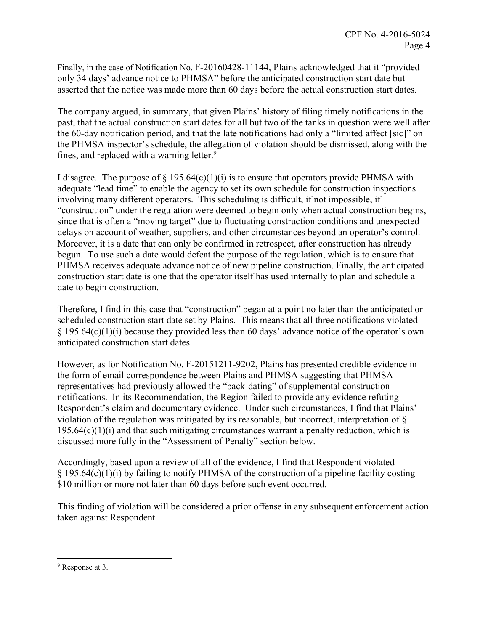Finally, in the case of Notification No. F-20160428-11144, Plains acknowledged that it "provided only 34 days' advance notice to PHMSA" before the anticipated construction start date but asserted that the notice was made more than 60 days before the actual construction start dates.

The company argued, in summary, that given Plains' history of filing timely notifications in the past, that the actual construction start dates for all but two of the tanks in question were well after the 60-day notification period, and that the late notifications had only a "limited affect [sic]" on the PHMSA inspector's schedule, the allegation of violation should be dismissed, along with the fines, and replaced with a warning letter.<sup>9</sup>

I disagree. The purpose of  $\S$  195.64(c)(1)(i) is to ensure that operators provide PHMSA with adequate "lead time" to enable the agency to set its own schedule for construction inspections involving many different operators. This scheduling is difficult, if not impossible, if "construction" under the regulation were deemed to begin only when actual construction begins, since that is often a "moving target" due to fluctuating construction conditions and unexpected delays on account of weather, suppliers, and other circumstances beyond an operator's control. Moreover, it is a date that can only be confirmed in retrospect, after construction has already begun. To use such a date would defeat the purpose of the regulation, which is to ensure that PHMSA receives adequate advance notice of new pipeline construction. Finally, the anticipated construction start date is one that the operator itself has used internally to plan and schedule a date to begin construction.

Therefore, I find in this case that "construction" began at a point no later than the anticipated or scheduled construction start date set by Plains. This means that all three notifications violated § 195.64(c)(1)(i) because they provided less than 60 days' advance notice of the operator's own anticipated construction start dates.

However, as for Notification No. F-20151211-9202, Plains has presented credible evidence in the form of email correspondence between Plains and PHMSA suggesting that PHMSA representatives had previously allowed the "back-dating" of supplemental construction notifications. In its Recommendation, the Region failed to provide any evidence refuting Respondent's claim and documentary evidence. Under such circumstances, I find that Plains' violation of the regulation was mitigated by its reasonable, but incorrect, interpretation of §  $195.64(c)(1)(i)$  and that such mitigating circumstances warrant a penalty reduction, which is discussed more fully in the "Assessment of Penalty" section below.

Accordingly, based upon a review of all of the evidence, I find that Respondent violated § 195.64(c)(1)(i) by failing to notify PHMSA of the construction of a pipeline facility costing \$10 million or more not later than 60 days before such event occurred.

This finding of violation will be considered a prior offense in any subsequent enforcement action taken against Respondent.

 $\overline{a}$ 

<sup>&</sup>lt;sup>9</sup> Response at 3.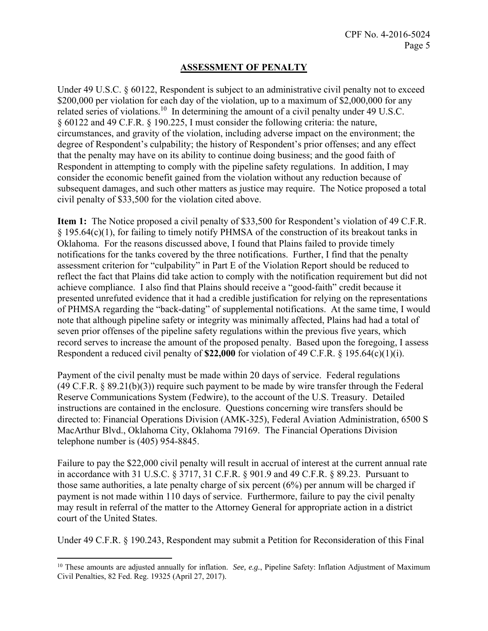# **ASSESSMENT OF PENALTY**

Under 49 U.S.C. § 60122, Respondent is subject to an administrative civil penalty not to exceed \$200,000 per violation for each day of the violation, up to a maximum of \$2,000,000 for any related series of violations.<sup>10</sup> In determining the amount of a civil penalty under 49 U.S.C. § 60122 and 49 C.F.R. § 190.225, I must consider the following criteria: the nature, circumstances, and gravity of the violation, including adverse impact on the environment; the degree of Respondent's culpability; the history of Respondent's prior offenses; and any effect that the penalty may have on its ability to continue doing business; and the good faith of Respondent in attempting to comply with the pipeline safety regulations. In addition, I may consider the economic benefit gained from the violation without any reduction because of subsequent damages, and such other matters as justice may require. The Notice proposed a total civil penalty of \$33,500 for the violation cited above.

**Item 1:** The Notice proposed a civil penalty of \$33,500 for Respondent's violation of 49 C.F.R. § 195.64(c)(1), for failing to timely notify PHMSA of the construction of its breakout tanks in Oklahoma. For the reasons discussed above, I found that Plains failed to provide timely notifications for the tanks covered by the three notifications. Further, I find that the penalty assessment criterion for "culpability" in Part E of the Violation Report should be reduced to reflect the fact that Plains did take action to comply with the notification requirement but did not achieve compliance. I also find that Plains should receive a "good-faith" credit because it presented unrefuted evidence that it had a credible justification for relying on the representations of PHMSA regarding the "back-dating" of supplemental notifications. At the same time, I would note that although pipeline safety or integrity was minimally affected, Plains had had a total of seven prior offenses of the pipeline safety regulations within the previous five years, which record serves to increase the amount of the proposed penalty. Based upon the foregoing, I assess Respondent a reduced civil penalty of **\$22,000** for violation of 49 C.F.R. § 195.64(c)(1)(i).

Payment of the civil penalty must be made within 20 days of service. Federal regulations (49 C.F.R. § 89.21(b)(3)) require such payment to be made by wire transfer through the Federal Reserve Communications System (Fedwire), to the account of the U.S. Treasury. Detailed instructions are contained in the enclosure. Questions concerning wire transfers should be directed to: Financial Operations Division (AMK-325), Federal Aviation Administration, 6500 S MacArthur Blvd., Oklahoma City, Oklahoma 79169. The Financial Operations Division telephone number is (405) 954-8845.

Failure to pay the \$22,000 civil penalty will result in accrual of interest at the current annual rate in accordance with 31 U.S.C. § 3717, 31 C.F.R. § 901.9 and 49 C.F.R. § 89.23. Pursuant to those same authorities, a late penalty charge of six percent (6%) per annum will be charged if payment is not made within 110 days of service. Furthermore, failure to pay the civil penalty may result in referral of the matter to the Attorney General for appropriate action in a district court of the United States.

Under 49 C.F.R. § 190.243, Respondent may submit a Petition for Reconsideration of this Final

 $\overline{a}$ 

<sup>10</sup> These amounts are adjusted annually for inflation. *See, e.g.*, Pipeline Safety: Inflation Adjustment of Maximum Civil Penalties, 82 Fed. Reg. 19325 (April 27, 2017).